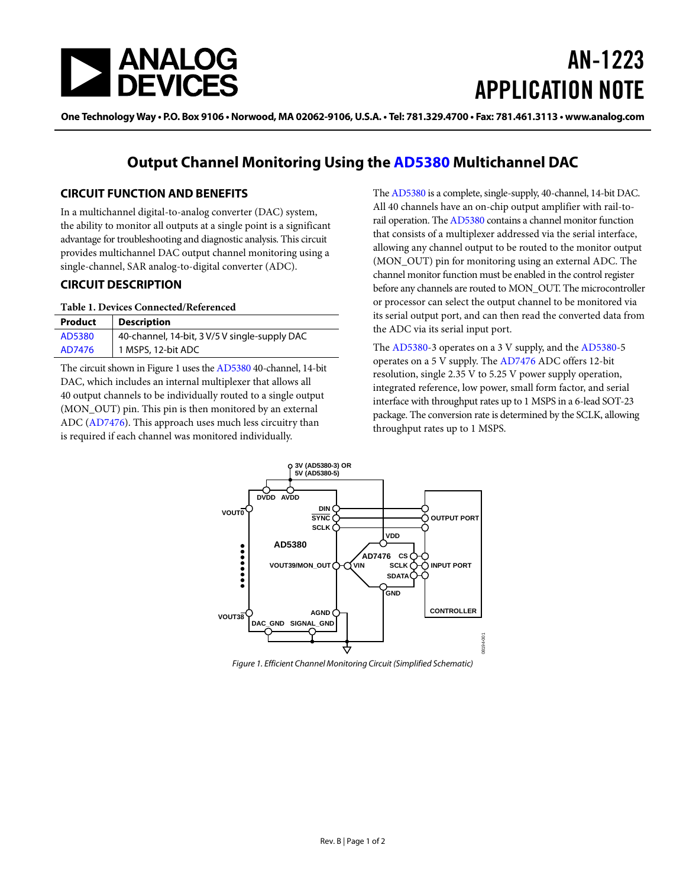

# AN-1223 APPLICATION NOTE

One Technology Way • P.O. Box 9106 • Norwood, MA 02062-9106, U.S.A. • Tel: 781.329.4700 • Fax: 781.461.3113 • www.analog.com

# **Output Channel Monitoring Using the [AD5380](http://www.analog.com/AD5380?doc=AN-1223.pdf) Multichannel DAC**

### **CIRCUIT FUNCTION AND BENEFITS**

In a multichannel digital-to-analog converter (DAC) system, the ability to monitor all outputs at a single point is a significant advantage for troubleshooting and diagnostic analysis. This circuit provides multichannel DAC output channel monitoring using a single-channel, SAR analog-to-digital converter (ADC).

### **CIRCUIT DESCRIPTION**

### **Table 1. Devices Connected/Referenced**

| Product | <b>Description</b>                            |
|---------|-----------------------------------------------|
| AD5380  | 40-channel, 14-bit, 3 V/5 V single-supply DAC |
| AD7476  | 1 MSPS, 12-bit ADC                            |

The circuit shown i[n Figure 1](#page-0-0) uses th[e AD5380](http://www.analog.com/AD5380?doc=AN-1223.pdf) 40-channel, 14-bit DAC, which includes an internal multiplexer that allows all 40 output channels to be individually routed to a single output (MON\_OUT) pin. This pin is then monitored by an external ADC [\(AD7476\)](http://www.analog.com/AD7476?doc=AN-1223.pdf). This approach uses much less circuitry than is required if each channel was monitored individually.

Th[e AD5380](http://www.analog.com/AD5380?doc=AN-1223.pdf) is a complete, single-supply, 40-channel, 14-bit DAC. All 40 channels have an on-chip output amplifier with rail-torail operation. Th[e AD5380](http://www.analog.com/AD5380?doc=AN-1223.pdf) contains a channel monitor function that consists of a multiplexer addressed via the serial interface, allowing any channel output to be routed to the monitor output (MON\_OUT) pin for monitoring using an external ADC. The channel monitor function must be enabled in the control register before any channels are routed to MON\_OUT. The microcontroller or processor can select the output channel to be monitored via its serial output port, and can then read the converted data from the ADC via its serial input port.

The [AD5380-3](http://www.analog.com/AD5380?doc=AN-1223.pdf) operates on a 3 V supply, and the [AD5380-5](http://www.analog.com/AD5380?doc=AN-1223.pdf) operates on a 5 V supply. Th[e AD7476](http://www.analog.com/AD7476?doc=AN-1223.pdf) ADC offers 12-bit resolution, single 2.35 V to 5.25 V power supply operation, integrated reference, low power, small form factor, and serial interface with throughput rates up to 1 MSPS in a 6-lead SOT-23 package. The conversion rate is determined by the SCLK, allowing throughput rates up to 1 MSPS.



<span id="page-0-0"></span>*Figure 1. Efficient Channel Monitoring Circuit (Simplified Schematic)*